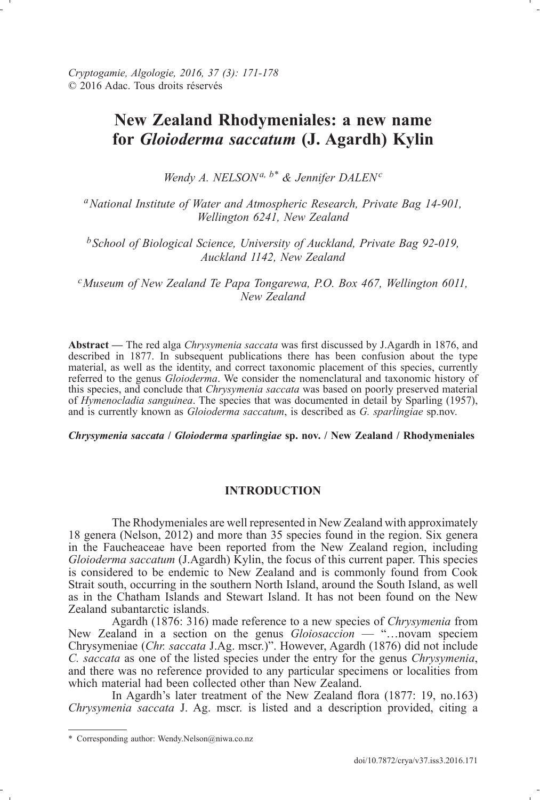# **New Zealand Rhodymeniales: a new name for** *Gloioderma saccatum* **(J. Agardh) Kylin**

*Wendy A. NELSONa, b\* & Jennifer DALEN<sup>c</sup>*

*<sup>a</sup>National Institute of Water and Atmospheric Research, Private Bag 14-901, Wellington 6241, New Zealand*

*<sup>b</sup>School of Biological Science, University of Auckland, Private Bag 92-019, Auckland 1142, New Zealand*

*<sup>c</sup>Museum of New Zealand Te Papa Tongarewa, P.O. Box 467, Wellington 6011, New Zealand*

**Abstract —** The red alga *Chrysymenia saccata* was first discussed by J.Agardh in 1876, and described in 1877. In subsequent publications there has been confusion about the type material, as well as the identity, and correct taxonomic placement of this species, currently referred to the genus *Gloioderma*. We consider the nomenclatural and taxonomic history of this species, and conclude that *Chrysymenia saccata* was based on poorly preserved material of *Hymenocladia sanguinea*. The species that was documented in detail by Sparling (1957), and is currently known as *Gloioderma saccatum*, is described as *G. sparlingiae* sp.nov.

*Chrysymenia saccata* **/** *Gloioderma sparlingiae* **sp. nov. / New Zealand / Rhodymeniales**

## **INtRoductIoN**

The Rhodymeniales are well represented in New Zealand with approximately 18 genera (Nelson, 2012) and more than 35 species found in the region. Six genera in the Faucheaceae have been reported from the New Zealand region, including *Gloioderma saccatum* (J.Agardh) Kylin, the focus of this current paper. This species is considered to be endemic to New Zealand and is commonly found from Cook Strait south, occurring in the southern North Island, around the South Island, as well as in the Chatham Islands and Stewart Island. It has not been found on the New Zealand subantarctic islands.

Agardh (1876: 316) made reference to a new species of *Chrysymenia* from New Zealand in a section on the genus *Gloiosaccion* — "…novam speciem Chrysymeniae (*Chr. saccata* J.Ag. mscr.)". However, Agardh (1876) did not include *C. saccata* as one of the listed species under the entry for the genus *Chrysymenia*, and there was no reference provided to any particular specimens or localities from which material had been collected other than New Zealand.

In Agardh's later treatment of the New Zealand flora (1877: 19, no.163) *Chrysymenia saccata* J. Ag. mscr. is listed and a description provided, citing a

<sup>\*</sup> Corresponding author: Wendy.Nelson@niwa.co.nz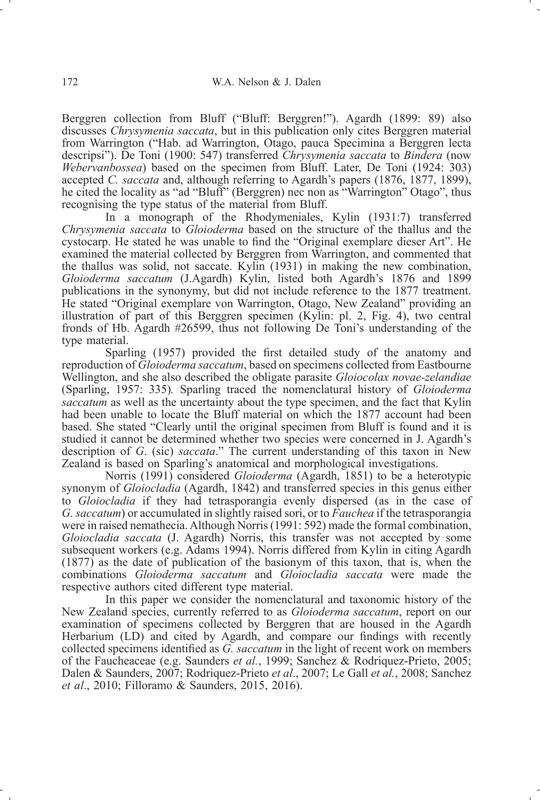Berggren collection from Bluff ("Bluff: Berggren!"). Agardh (1899: 89) also discusses *Chrysymenia saccata*, but in this publication only cites Berggren material from Warrington ("Hab. ad Warrington, Otago, pauca Specimina a Berggren lecta descripsi"). De Toni (1900: 547) transferred *Chrysymenia saccata* to *Bindera* (now *Webervanbossea*) based on the specimen from Bluff. Later, De Toni (1924: 303) accepted *C. saccata* and, although referring to Agardh's papers (1876, 1877, 1899), he cited the locality as "ad "Bluff" (Berggren) nec non as "Warrington" Otago", thus recognising the type status of the material from Bluff.

In a monograph of the Rhodymeniales, Kylin (1931:7) transferred *Chrysymenia saccata* to *Gloioderma* based on the structure of the thallus and the cystocarp. He stated he was unable to find the "Original exemplare dieser Art". He examined the material collected by Berggren from Warrington, and commented that the thallus was solid, not saccate. Kylin (1931) in making the new combination, *Gloioderma saccatum* (J.Agardh) Kylin, listed both Agardh's 1876 and 1899 publications in the synonymy, but did not include reference to the 1877 treatment. He stated "Original exemplare von Warrington, Otago, New Zealand" providing an illustration of part of this Berggren specimen (Kylin: pl. 2, Fig. 4), two central fronds of Hb. Agardh #26599, thus not following De Toni's understanding of the type material.

Sparling (1957) provided the first detailed study of the anatomy and reproduction of *Gloioderma saccatum*, based on specimens collected from Eastbourne Wellington, and she also described the obligate parasite *Gloiocolax novae-zelandiae* (Sparling, 1957: 335)*.* Sparling traced the nomenclatural history of *Gloioderma saccatum* as well as the uncertainty about the type specimen, and the fact that Kylin had been unable to locate the Bluff material on which the 1877 account had been based. She stated "Clearly until the original specimen from Bluff is found and it is studied it cannot be determined whether two species were concerned in J. Agardh's description of *G*. (sic) *saccata*." The current understanding of this taxon in New Zealand is based on Sparling's anatomical and morphological investigations.

Norris (1991) considered *Gloioderma* (Agardh, 1851) to be a heterotypic synonym of *Gloiocladia* (Agardh, 1842) and transferred species in this genus either to *Gloiocladia* if they had tetrasporangia evenly dispersed (as in the case of *G.saccatum*) or accumulated in slightly raised sori, or to *Fauchea* if the tetrasporangia were in raised nemathecia.Although Norris(1991: 592) made the formal combination, *Gloiocladia saccata* (J. Agardh) Norris, this transfer was not accepted by some subsequent workers (e.g. Adams 1994). Norris differed from Kylin in citing Agardh (1877) as the date of publication of the basionym of this taxon, that is, when the combinations *Gloioderma saccatum* and *Gloiocladia saccata* were made the respective authors cited different type material.

In this paper we consider the nomenclatural and taxonomic history of the New Zealand species, currently referred to as *Gloioderma saccatum*, report on our examination of specimens collected by Berggren that are housed in the Agardh Herbarium (LD) and cited by Agardh, and compare our findings with recently collected specimens identified as *G. saccatum* in the light of recent work on members of the Faucheaceae (e.g. Saunders *et al.*, 1999; Sanchez & Rodriquez-Prieto, 2005; Dalen & Saunders, 2007; Rodriquez-Prieto *et al*., 2007; Le Gall *et al.*, 2008; Sanchez *et al*., 2010; Filloramo & Saunders, 2015, 2016).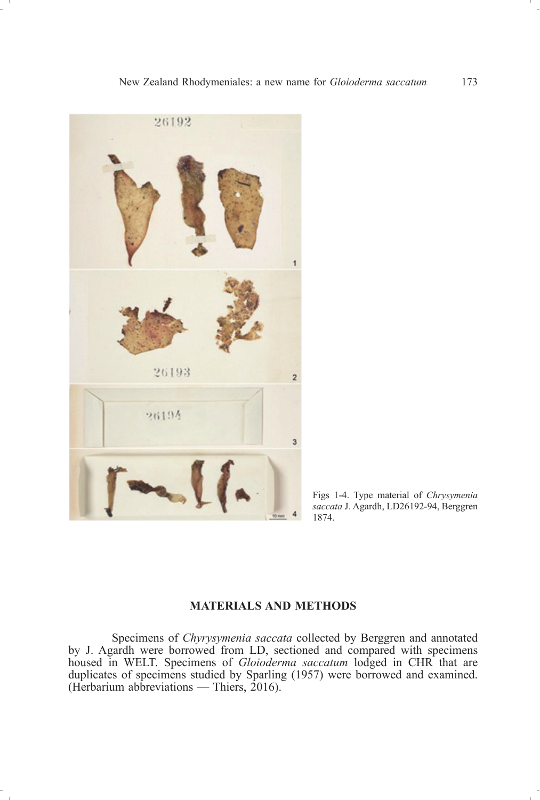

Figs 1-4. Type material of *Chrysymenia saccata* J. Agardh, LD26192-94, Berggren 1874.

# **MAteRIAls ANd Methods**

Specimens of *Chyrysymenia saccata* collected by Berggren and annotated by J. Agardh were borrowed from LD, sectioned and compared with specimens housed in WELT. Specimens of *Gloioderma saccatum* lodged in CHR that are duplicates of specimens studied by Sparling (1957) were borrowed and examined. (Herbarium abbreviations — Thiers, 2016).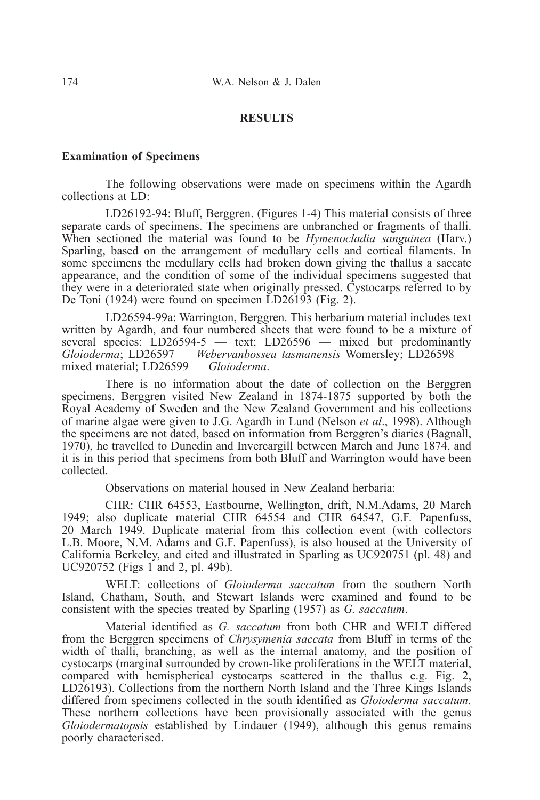#### **Results**

#### **examination of specimens**

The following observations were made on specimens within the Agardh collections at LD:

LD26192-94: Bluff, Berggren. (Figures 1-4) This material consists of three separate cards of specimens. The specimens are unbranched or fragments of thalli. When sectioned the material was found to be *Hymenocladia sanguinea* (Harv.) Sparling, based on the arrangement of medullary cells and cortical filaments. In some specimens the medullary cells had broken down giving the thallus a saccate appearance, and the condition of some of the individual specimens suggested that they were in a deteriorated state when originally pressed. Cystocarps referred to by De Toni (1924) were found on specimen LD26193 (Fig. 2).

LD26594-99a: Warrington, Berggren. This herbarium material includes text written by Agardh, and four numbered sheets that were found to be a mixture of several species:  $LD26594-5$  — text;  $LD26596$  — mixed but predominantly *Gloioderma*; LD26597 — *Webervanbossea tasmanensis* Womersley; LD26598 mixed material; LD26599 — *Gloioderma*.

There is no information about the date of collection on the Berggren specimens. Berggren visited New Zealand in 1874-1875 supported by both the Royal Academy of Sweden and the New Zealand Government and his collections of marine algae were given to J.G. Agardh in Lund (Nelson *et al*., 1998). Although the specimens are not dated, based on information from Berggren's diaries (Bagnall, 1970), he travelled to Dunedin and Invercargill between March and June 1874, and it is in this period that specimens from both Bluff and Warrington would have been collected.

Observations on material housed in New Zealand herbaria:

CHR: CHR 64553, Eastbourne, Wellington, drift, N.M.Adams, 20 March 1949; also duplicate material CHR 64554 and CHR 64547, G.F. Papenfuss, 20 March 1949. Duplicate material from this collection event (with collectors L.B. Moore, N.M. Adams and G.F. Papenfuss), is also housed at the University of California Berkeley, and cited and illustrated in Sparling as UC920751 (pl. 48) and UC920752 (Figs 1 and 2, pl. 49b).

WELT: collections of *Gloioderma saccatum* from the southern North Island, Chatham, South, and Stewart Islands were examined and found to be consistent with the species treated by Sparling (1957) as *G. saccatum*.

Material identified as *G. saccatum* from both CHR and WELT differed from the Berggren specimens of *Chrysymenia saccata* from Bluff in terms of the width of thalli, branching, as well as the internal anatomy, and the position of cystocarps (marginal surrounded by crown-like proliferations in the WELT material, compared with hemispherical cystocarps scattered in the thallus e.g. Fig. 2, LD26193). Collections from the northern North Island and the Three Kings Islands differed from specimens collected in the south identified as *Gloioderma saccatum.* These northern collections have been provisionally associated with the genus *Gloiodermatopsis* established by Lindauer (1949), although this genus remains poorly characterised.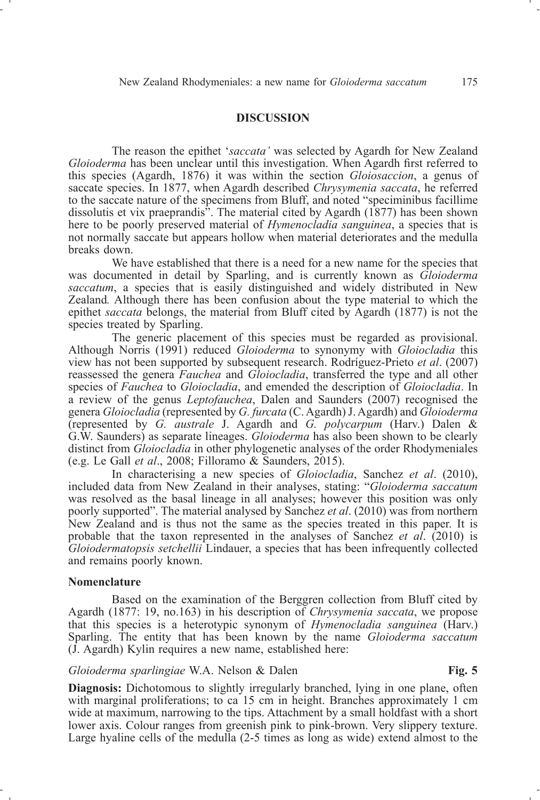#### **dIscussIoN**

The reason the epithet '*saccata'* was selected by Agardh for New Zealand *Gloioderma* has been unclear until this investigation. When Agardh first referred to this species (Agardh, 1876) it was within the section *Gloiosaccion*, a genus of saccate species. In 1877, when Agardh described *Chrysymenia saccata*, he referred to the saccate nature of the specimens from Bluff, and noted "speciminibus facillime dissolutis et vix praeprandis<sup>3</sup>. The material cited by Agardh ( $1877$ ) has been shown here to be poorly preserved material of *Hymenocladia sanguinea*, a species that is not normally saccate but appears hollow when material deteriorates and the medulla breaks down.

We have established that there is a need for a new name for the species that was documented in detail by Sparling, and is currently known as *Gloioderma saccatum*, a species that is easily distinguished and widely distributed in New Zealand*.* Although there has been confusion about the type material to which the epithet *saccata* belongs, the material from Bluff cited by Agardh (1877) is not the species treated by Sparling.

The generic placement of this species must be regarded as provisional. Although Norris (1991) reduced *Gloioderma* to synonymy with *Gloiocladia* this view has not been supported by subsequent research. Rodríguez-Prieto *et al*. (2007) reassessed the genera *Fauchea* and *Gloiocladia*, transferred the type and all other species of *Fauchea* to *Gloiocladia*, and emended the description of *Gloiocladia*. In a review of the genus *Leptofauchea*, Dalen and Saunders (2007) recognised the genera *Gloiocladia* (represented by *G. furcata* (C.Agardh)J.Agardh) and *Gloioderma* (represented by *G. australe* J. Agardh and *G. polycarpum* (Harv.) Dalen & G.W. Saunders) as separate lineages. *Gloioderma* has also been shown to be clearly distinct from *Gloiocladia* in other phylogenetic analyses of the order Rhodymeniales (e.g. Le Gall *et al*., 2008; Filloramo & Saunders, 2015).

In characterising a new species of *Gloiocladia*, Sanchez *et al*. (2010), included data from New Zealand in their analyses, stating: "*Gloioderma saccatum* was resolved as the basal lineage in all analyses; however this position was only poorly supported". The material analysed by Sanchez *et al*. (2010) was from northern New Zealand and is thus not the same as the species treated in this paper. It is probable that the taxon represented in the analyses of Sanchez *et al*. (2010) is *Gloiodermatopsis setchellii* Lindauer, a species that has been infrequently collected and remains poorly known.

#### **Nomenclature**

Based on the examination of the Berggren collection from Bluff cited by Agardh (1877: 19, no.163) in his description of *Chrysymenia saccata*, we propose that this species is a heterotypic synonym of *Hymenocladia sanguinea* (Harv.) Sparling. The entity that has been known by the name *Gloioderma saccatum* (J. Agardh) Kylin requires a new name, established here:

### *Gloioderma sparlingiae* W.A. Nelson & Dalen **Fig. 5**

**Diagnosis:** Dichotomous to slightly irregularly branched, lying in one plane, often with marginal proliferations; to ca 15 cm in height. Branches approximately 1 cm wide at maximum, narrowing to the tips. Attachment by a small holdfast with a short lower axis. Colour ranges from greenish pink to pink-brown. Very slippery texture. Large hyaline cells of the medulla (2-5 times as long as wide) extend almost to the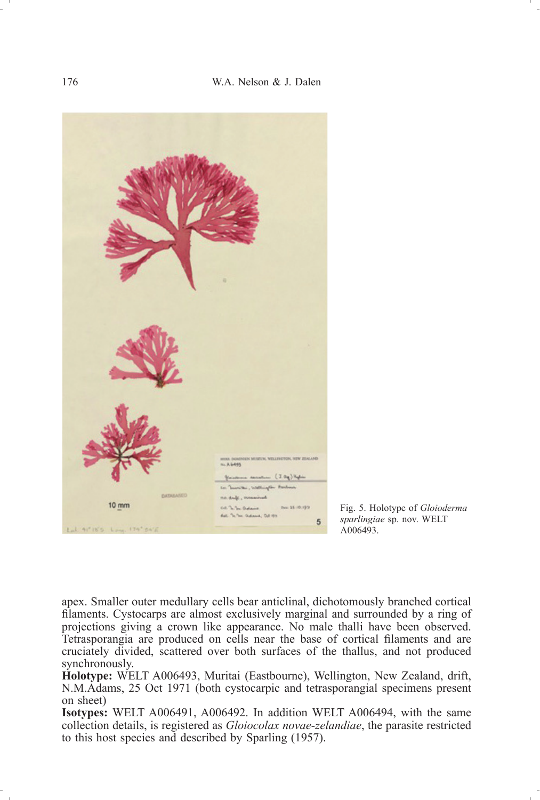

Fig. 5. Holotype of *Gloioderma sparlingiae* sp. nov. WELT A006493.

apex. Smaller outer medullary cells bear anticlinal, dichotomously branched cortical filaments. Cystocarps are almost exclusively marginal and surrounded by a ring of projections giving a crown like appearance. No male thalli have been observed. Tetrasporangia are produced on cells near the base of cortical filaments and are cruciately divided, scattered over both surfaces of the thallus, and not produced synchronously.

**holotype:** WELT A006493, Muritai (Eastbourne), Wellington, New Zealand, drift, N.M.Adams, 25 Oct 1971 (both cystocarpic and tetrasporangial specimens present on sheet)

**Isotypes:** WELT A006491, A006492. In addition WELT A006494, with the same collection details, is registered as *Gloiocolax novae-zelandiae*, the parasite restricted to this host species and described by Sparling (1957).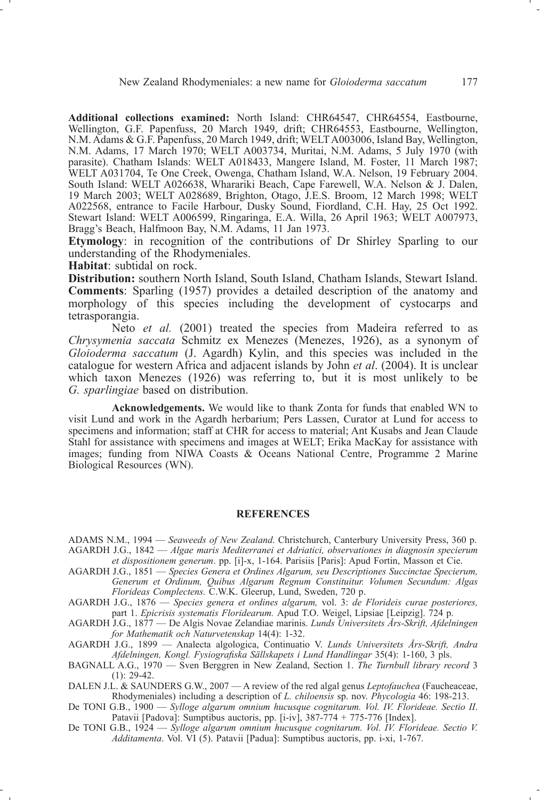**Additional collections examined:** North Island: CHR64547, CHR64554, Eastbourne, Wellington, G.F. Papenfuss, 20 March 1949, drift; CHR64553, Eastbourne, Wellington, N.M. Adams & G.F. Papenfuss, 20 March 1949, drift; WELTA003006, Island Bay, Wellington, N.M. Adams, 17 March 1970; WELT A003734, Muritai, N.M. Adams, 5 July 1970 (with parasite). Chatham Islands: WELT A018433, Mangere Island, M. Foster, 11 March 1987; WELT A031704, Te One Creek, Owenga, Chatham Island, W.A. Nelson, 19 February 2004. South Island: WELT A026638, Wharariki Beach, Cape Farewell, W.A. Nelson & J. Dalen, 19 March 2003; WELT A028689, Brighton, Otago, J.E.S. Broom, 12 March 1998; WELT A022568, entrance to Facile Harbour, Dusky Sound, Fiordland, C.H. Hay, 25 Oct 1992. Stewart Island: WELT A006599, Ringaringa, E.A. Willa, 26 April 1963; WELT A007973, Bragg's Beach, Halfmoon Bay, N.M. Adams, 11 Jan 1973.

**etymology**: in recognition of the contributions of Dr Shirley Sparling to our understanding of the Rhodymeniales.

**habitat**: subtidal on rock.

**Distribution:** southern North Island, South Island, Chatham Islands, Stewart Island. **comments**: Sparling (1957) provides a detailed description of the anatomy and morphology of this species including the development of cystocarps and tetrasporangia.

Neto *et al.* (2001) treated the species from Madeira referred to as *Chrysymenia saccata* Schmitz ex Menezes (Menezes, 1926), as a synonym of *Gloioderma saccatum* (J. Agardh) Kylin, and this species was included in the catalogue for western Africa and adjacent islands by John *et al*. (2004). It is unclear which taxon Menezes (1926) was referring to, but it is most unlikely to be *G. sparlingiae* based on distribution.

**Acknowledgements.** We would like to thank Zonta for funds that enabled WN to visit Lund and work in the Agardh herbarium; Pers Lassen, Curator at Lund for access to specimens and information; staff at CHR for access to material; Ant Kusabs and Jean Claude Stahl for assistance with specimens and images at WELT; Erika MacKay for assistance with images; funding from NIWA Coasts & Oceans National Centre, Programme 2 Marine Biological Resources (WN).

#### **ReFeReNces**

ADAMS N.M., 1994 — *Seaweeds of New Zealand*. Christchurch, Canterbury University Press, 360 p. AGARDH J.G., 1842 — *Algae maris Mediterranei et Adriatici, observationes in diagnosin specierum et dispositionem generum*. pp. [i]-x, 1-164. Parisiis [Paris]: Apud Fortin, Masson et Cie.

- AGARDH J.G., 1851 *Species Genera et Ordines Algarum, seu Descriptiones Succinctae Specierum, Generum et Ordinum, Quibus Algarum Regnum Constituitur. Volumen Secundum: Algas Florideas Complectens.* C.W.K. Gleerup, Lund, Sweden, 720 p.
- AGARDH J.G., 1876 *Species genera et ordines algarum,* vol. 3: *de Florideis curae posteriores,* part 1. *Epicrisis systematis Floridearum.* Apud T.O. Weigel, Lipsiae [Leipzig]. 724 p.
- AGARDH J.G., 1877 De Algis Novae Zelandiae marinis. *Lunds Universitets Års-Skrift, Afdelningen for Mathematik och Naturvetenskap* 14(4): 1-32.

AGARDH J.G., 1899 — Analecta algologica, Continuatio V. *Lunds Universitets Års-Skrift, Andra Afdelningen, Kongl. Fysiografiska Sällskapets i Lund Handlingar* 35(4): 1-160, 3 pls.

- BAGNALL A.G., 1970 Sven Berggren in New Zealand, Section 1. *The Turnbull library record* 3  $(1)$ : 29-42.
- DALEN J.L. & SAUNDERS G.W., 2007 A review of the red algal genus *Leptofauchea* (Faucheaceae, Rhodymeniales) including a description of *L. chiloensis* sp. nov. *Phycologia* 46: 198-213.
- De TONI G.B., 1900 *Sylloge algarum omnium hucusque cognitarum. Vol. IV. Florideae. Sectio II*. Patavii [Padova]: Sumptibus auctoris, pp. [i-iv], 387-774 + 775-776 [Index].
- De TONI G.B., 1924 *Sylloge algarum omnium hucusque cognitarum. Vol. IV. Florideae. Sectio V. Additamenta*. Vol. VI (5). Patavii [Padua]: Sumptibus auctoris, pp. i-xi, 1-767.